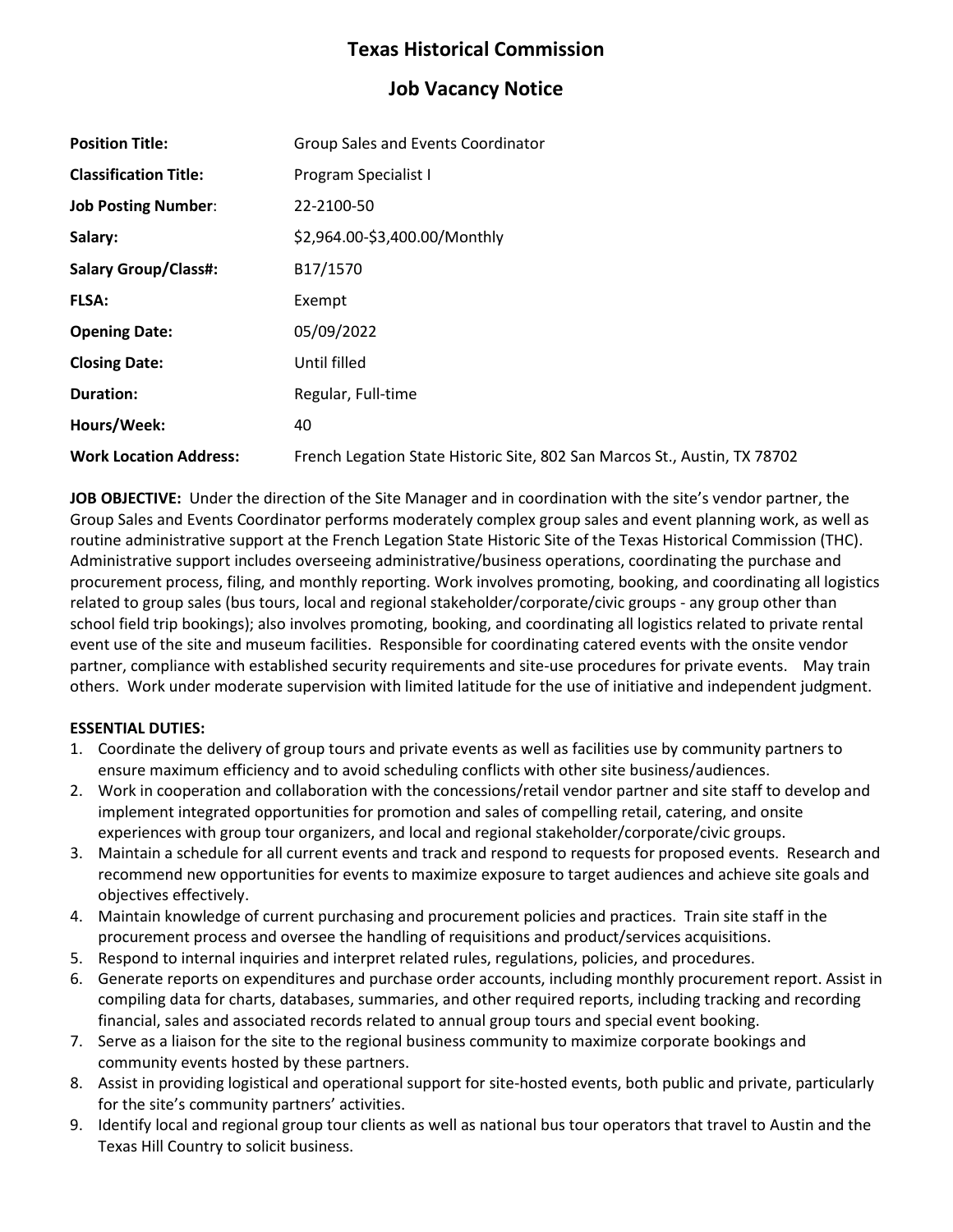# **Texas Historical Commission**

# **Job Vacancy Notice**

| <b>Position Title:</b>        | Group Sales and Events Coordinator                                        |
|-------------------------------|---------------------------------------------------------------------------|
| <b>Classification Title:</b>  | Program Specialist I                                                      |
| <b>Job Posting Number:</b>    | 22-2100-50                                                                |
| Salary:                       | \$2,964.00-\$3,400.00/Monthly                                             |
| <b>Salary Group/Class#:</b>   | B17/1570                                                                  |
| <b>FLSA:</b>                  | Exempt                                                                    |
| <b>Opening Date:</b>          | 05/09/2022                                                                |
| <b>Closing Date:</b>          | Until filled                                                              |
| <b>Duration:</b>              | Regular, Full-time                                                        |
| Hours/Week:                   | 40                                                                        |
| <b>Work Location Address:</b> | French Legation State Historic Site, 802 San Marcos St., Austin, TX 78702 |

**JOB OBJECTIVE:** Under the direction of the Site Manager and in coordination with the site's vendor partner, the Group Sales and Events Coordinator performs moderately complex group sales and event planning work, as well as routine administrative support at the French Legation State Historic Site of the Texas Historical Commission (THC). Administrative support includes overseeing administrative/business operations, coordinating the purchase and procurement process, filing, and monthly reporting. Work involves promoting, booking, and coordinating all logistics related to group sales (bus tours, local and regional stakeholder/corporate/civic groups - any group other than school field trip bookings); also involves promoting, booking, and coordinating all logistics related to private rental event use of the site and museum facilities. Responsible for coordinating catered events with the onsite vendor partner, compliance with established security requirements and site-use procedures for private events. May train others. Work under moderate supervision with limited latitude for the use of initiative and independent judgment.

## **ESSENTIAL DUTIES:**

- 1. Coordinate the delivery of group tours and private events as well as facilities use by community partners to ensure maximum efficiency and to avoid scheduling conflicts with other site business/audiences.
- 2. Work in cooperation and collaboration with the concessions/retail vendor partner and site staff to develop and implement integrated opportunities for promotion and sales of compelling retail, catering, and onsite experiences with group tour organizers, and local and regional stakeholder/corporate/civic groups.
- 3. Maintain a schedule for all current events and track and respond to requests for proposed events. Research and recommend new opportunities for events to maximize exposure to target audiences and achieve site goals and objectives effectively.
- 4. Maintain knowledge of current purchasing and procurement policies and practices. Train site staff in the procurement process and oversee the handling of requisitions and product/services acquisitions.
- 5. Respond to internal inquiries and interpret related rules, regulations, policies, and procedures.
- 6. Generate reports on expenditures and purchase order accounts, including monthly procurement report. Assist in compiling data for charts, databases, summaries, and other required reports, including tracking and recording financial, sales and associated records related to annual group tours and special event booking.
- 7. Serve as a liaison for the site to the regional business community to maximize corporate bookings and community events hosted by these partners.
- 8. Assist in providing logistical and operational support for site-hosted events, both public and private, particularly for the site's community partners' activities.
- 9. Identify local and regional group tour clients as well as national bus tour operators that travel to Austin and the Texas Hill Country to solicit business.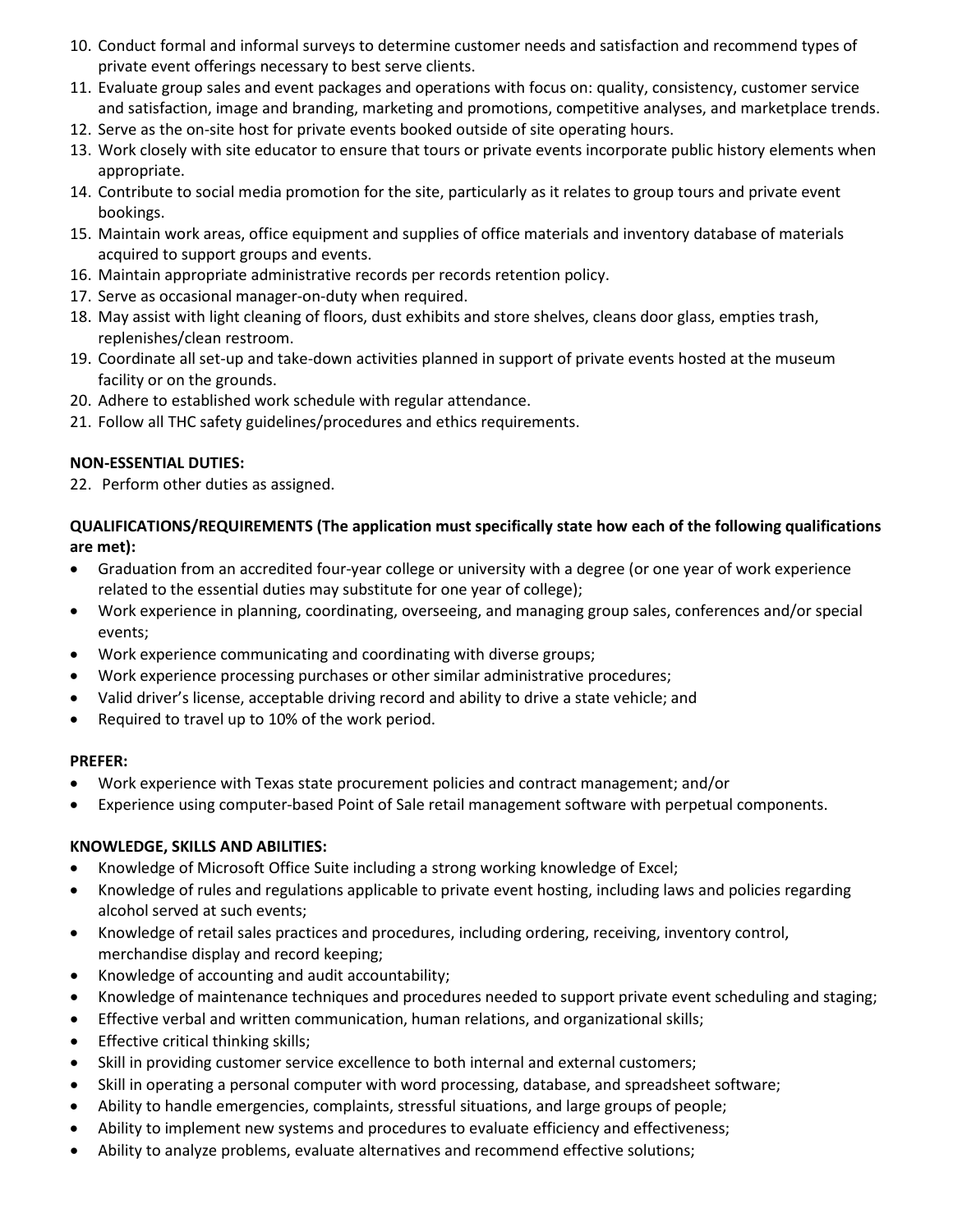- 10. Conduct formal and informal surveys to determine customer needs and satisfaction and recommend types of private event offerings necessary to best serve clients.
- 11. Evaluate group sales and event packages and operations with focus on: quality, consistency, customer service and satisfaction, image and branding, marketing and promotions, competitive analyses, and marketplace trends.
- 12. Serve as the on-site host for private events booked outside of site operating hours.
- 13. Work closely with site educator to ensure that tours or private events incorporate public history elements when appropriate.
- 14. Contribute to social media promotion for the site, particularly as it relates to group tours and private event bookings.
- 15. Maintain work areas, office equipment and supplies of office materials and inventory database of materials acquired to support groups and events.
- 16. Maintain appropriate administrative records per records retention policy.
- 17. Serve as occasional manager-on-duty when required.
- 18. May assist with light cleaning of floors, dust exhibits and store shelves, cleans door glass, empties trash, replenishes/clean restroom.
- 19. Coordinate all set-up and take-down activities planned in support of private events hosted at the museum facility or on the grounds.
- 20. Adhere to established work schedule with regular attendance.
- 21. Follow all THC safety guidelines/procedures and ethics requirements.

### **NON-ESSENTIAL DUTIES:**

22. Perform other duties as assigned.

**QUALIFICATIONS/REQUIREMENTS (The application must specifically state how each of the following qualifications are met):** 

- Graduation from an accredited four-year college or university with a degree (or one year of work experience related to the essential duties may substitute for one year of college);
- Work experience in planning, coordinating, overseeing, and managing group sales, conferences and/or special events;
- Work experience communicating and coordinating with diverse groups;
- Work experience processing purchases or other similar administrative procedures;
- Valid driver's license, acceptable driving record and ability to drive a state vehicle; and
- Required to travel up to 10% of the work period.

#### **PREFER:**

- Work experience with Texas state procurement policies and contract management; and/or
- Experience using computer-based Point of Sale retail management software with perpetual components.

## **KNOWLEDGE, SKILLS AND ABILITIES:**

- Knowledge of Microsoft Office Suite including a strong working knowledge of Excel;
- Knowledge of rules and regulations applicable to private event hosting, including laws and policies regarding alcohol served at such events;
- Knowledge of retail sales practices and procedures, including ordering, receiving, inventory control, merchandise display and record keeping;
- Knowledge of accounting and audit accountability;
- Knowledge of maintenance techniques and procedures needed to support private event scheduling and staging;
- Effective verbal and written communication, human relations, and organizational skills;
- Effective critical thinking skills;
- Skill in providing customer service excellence to both internal and external customers;
- Skill in operating a personal computer with word processing, database, and spreadsheet software;
- Ability to handle emergencies, complaints, stressful situations, and large groups of people;
- Ability to implement new systems and procedures to evaluate efficiency and effectiveness;
- Ability to analyze problems, evaluate alternatives and recommend effective solutions;